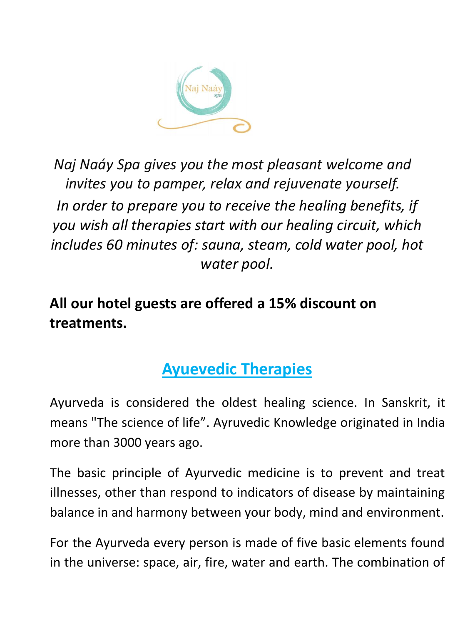

*Naj Naáy Spa gives you the most pleasant welcome and invites you to pamper, relax and rejuvenate yourself. In order to prepare you to receive the healing benefits, if you wish all therapies start with our healing circuit, which includes 60 minutes of: sauna, steam, cold water pool, hot water pool.*

### **All our hotel guests are offered a 15% discount on treatments.**

# **Ayuevedic Therapies**

Ayurveda is considered the oldest healing science. In Sanskrit, it means "The science of life". Ayruvedic Knowledge originated in India more than 3000 years ago.

The basic principle of Ayurvedic medicine is to prevent and treat illnesses, other than respond to indicators of disease by maintaining balance in and harmony between your body, mind and environment.

For the Ayurveda every person is made of five basic elements found in the universe: space, air, fire, water and earth. The combination of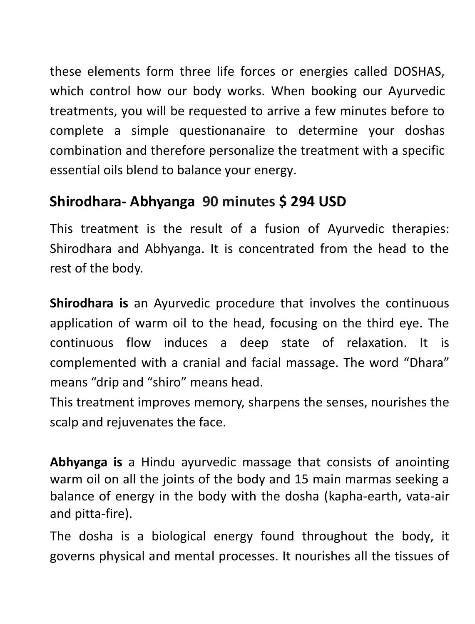these elements form three life forces or energies called DOSHAS, which control how our body works. When booking our Ayurvedic treatments, you will be requested to arrive a few minutes before to complete a simple questionanaire to determine your doshas combination and therefore personalize the treatment with a specific essential oils blend to balance your energy.

### **Shirodhara- Abhyanga 90 minutes \$ 294 USD**

This treatment is the result of a fusion of Ayurvedic therapies: Shirodhara and Abhyanga. It is concentrated from the head to the rest of the body.

**Shirodhara is** an Ayurvedic procedure that involves the continuous application of warm oil to the head, focusing on the third eye. The continuous flow induces a deep state of relaxation. It is complemented with a cranial and facial massage. The word "Dhara" means "drip and "shiro" means head.

This treatment improves memory, sharpens the senses, nourishes the scalp and rejuvenates the face.

**Abhyanga is** a Hindu ayurvedic massage that consists of anointing warm oil on all the joints of the body and 15 main marmas seeking a balance of energy in the body with the dosha (kapha-earth, vata-air and pitta-fire).

The dosha is a biological energy found throughout the body, it governs physical and mental processes. It nourishes all the tissues of